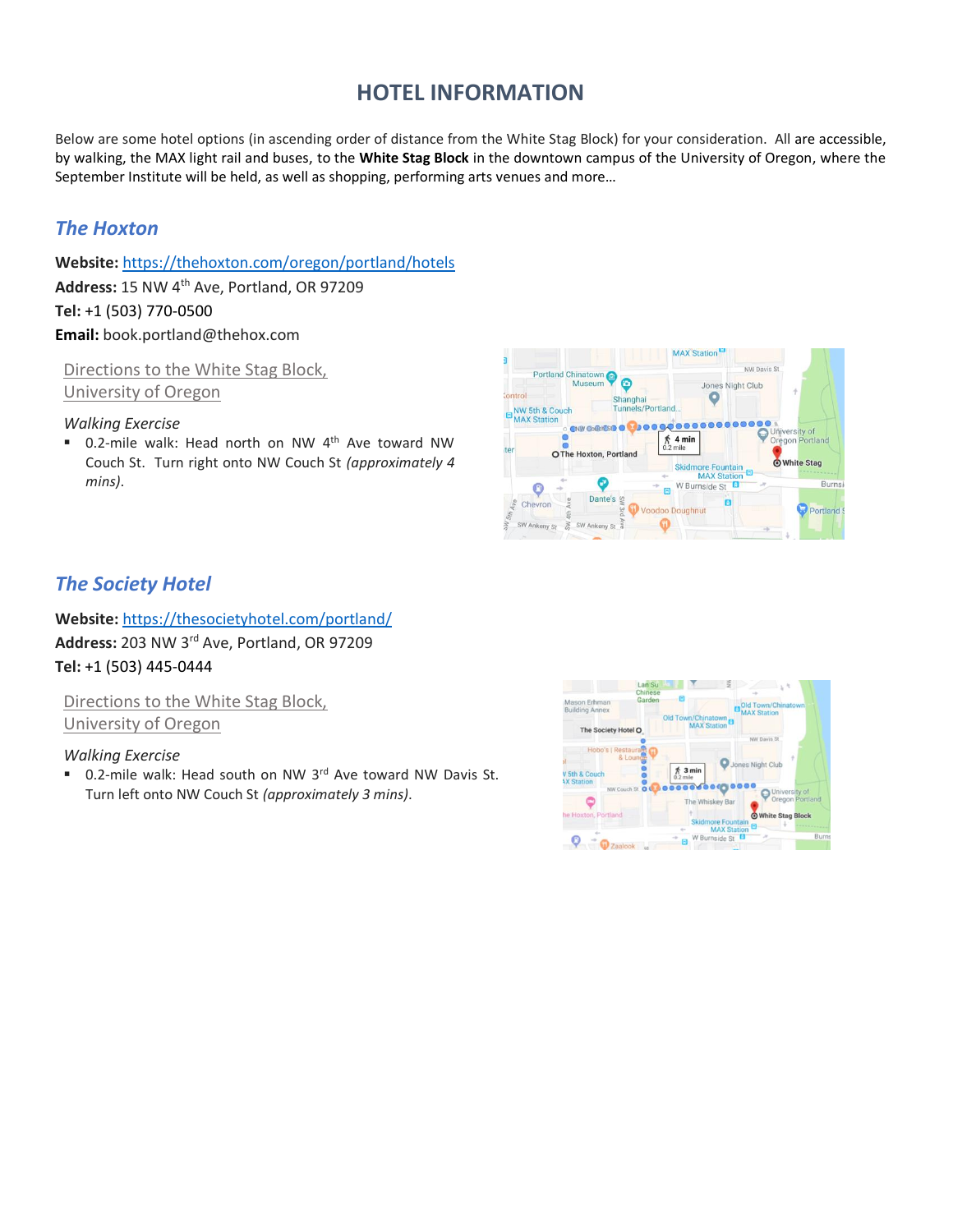# **HOTEL INFORMATION**

Below are some hotel options (in ascending order of distance from the White Stag Block) for your consideration. All are accessible, by walking, the MAX light rail and buses, to the **White Stag Block** in the downtown campus of the University of Oregon, where the September Institute will be held, as well as shopping, performing arts venues and more…

## *The Hoxton*

**Website:** <https://thehoxton.com/oregon/portland/hotels> **Address:** 15 NW 4th Ave, Portland, OR 97209 **Tel:** +1 (503) [770-0500](https://www.google.com/search?safe=strict&ei=lF1UXLHTF5HurQG4_4SQDw&hotel_occupancy=&q=Mark+Spencer+Hotel+portland&oq=Mark+Spencer+Hotel+portland&gs_l=psy-ab.3..0i7i30j0l5j0i30l3j0i5i30.1186415.1186415..1187293...0.0..0.101.101.0j1......0....2j1..gws-wiz.......0i71.0LOuUZMJCRM) **Email:** book.portland@thehox.com

Directions to the White Stag Block, University of Oregon

*Walking Exercise* 

■ 0.2-mile walk: Head north on NW 4<sup>th</sup> Ave toward NW Couch St. Turn right onto NW Couch St *(approximately 4 mins)*.



## *The Society Hotel*

**Website:** <https://thesocietyhotel.com/portland/> **Address:** 203 NW 3rd Ave, Portland, OR 97209 **Tel:** +1 (503) [445-0444](https://www.google.com/search?safe=strict&ei=lF1UXLHTF5HurQG4_4SQDw&hotel_occupancy=&q=Mark+Spencer+Hotel+portland&oq=Mark+Spencer+Hotel+portland&gs_l=psy-ab.3..0i7i30j0l5j0i30l3j0i5i30.1186415.1186415..1187293...0.0..0.101.101.0j1......0....2j1..gws-wiz.......0i71.0LOuUZMJCRM)

Directions to the White Stag Block, University of Oregon

#### *Walking Exercise*

■ 0.2-mile walk: Head south on NW 3rd Ave toward NW Davis St. Turn left onto NW Couch St *(approximately 3 mins)*.

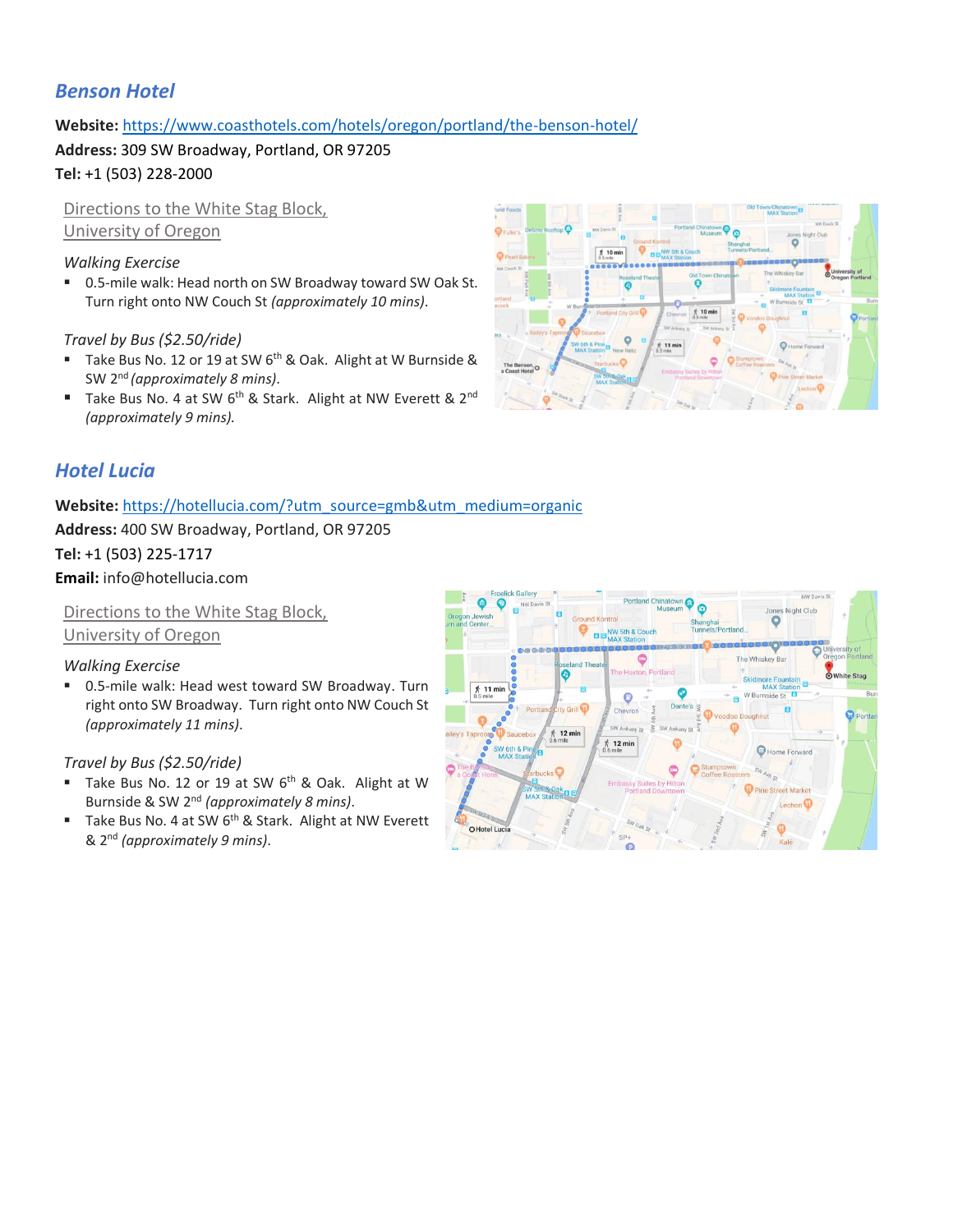## *Benson Hotel*

**Website:** https://www.coasthotels.com/hotels/oregon/portland/the-benson-hotel/

**Address:** 309 SW Broadway, Portland, OR 97205

**Tel:** +1 (503) 228-2000

Directions to the White Stag Block, University of Oregon

#### *Walking Exercise*

■ 0.5-mile walk: Head north on SW Broadway toward SW Oak St. Turn right onto NW Couch St *(approximately 10 mins)*.

*Travel by Bus (\$2.50/ride)*

- Take Bus No. 12 or 19 at SW 6<sup>th</sup> & Oak. Alight at W Burnside & SW 2nd *(approximately 8 mins)*.
- Take Bus No. 4 at SW 6<sup>th</sup> & Stark. Alight at NW Everett & 2<sup>nd</sup> *(approximately 9 mins).*



### *Hotel Lucia*

#### Website: https://hotellucia.com/?utm\_source=gmb&utm\_medium=organic

**Address:** 400 SW Broadway, Portland, OR 97205

#### **Tel:** +1 (503) [225-1717](https://www.google.com/search?safe=strict&ei=lF1UXLHTF5HurQG4_4SQDw&hotel_occupancy=&q=Mark+Spencer+Hotel+portland&oq=Mark+Spencer+Hotel+portland&gs_l=psy-ab.3..0i7i30j0l5j0i30l3j0i5i30.1186415.1186415..1187293...0.0..0.101.101.0j1......0....2j1..gws-wiz.......0i71.0LOuUZMJCRM)

**Email:** info@hotellucia.com

Directions to the White Stag Block, University of Oregon

#### *Walking Exercise*

0.5-mile walk: Head west toward SW Broadway. Turn right onto SW Broadway. Turn right onto NW Couch St *(approximately 11 mins)*.

- Take Bus No. 12 or 19 at SW 6<sup>th</sup> & Oak. Alight at W Burnside & SW 2nd *(approximately 8 mins)*.
- Take Bus No. 4 at SW 6<sup>th</sup> & Stark. Alight at NW Everett & 2nd *(approximately 9 mins)*.

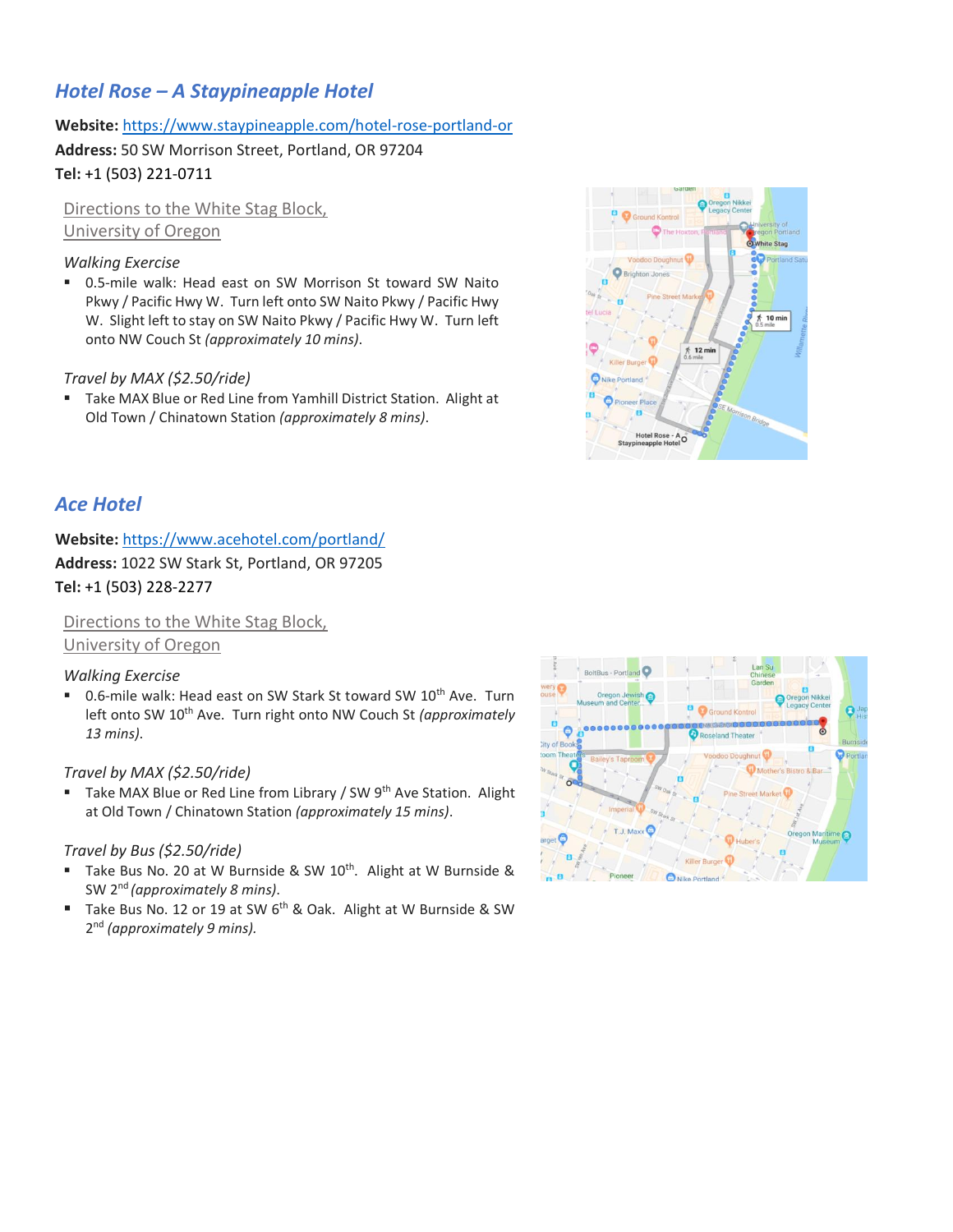## *Hotel Rose – A Staypineapple Hotel*

#### **Website:** <https://www.staypineapple.com/hotel-rose-portland-or>

**Address:** 50 SW Morrison Street, Portland, OR 97204

**Tel:** +1 (503) [221-0711](https://www.google.com/search?safe=strict&ei=lF1UXLHTF5HurQG4_4SQDw&hotel_occupancy=&q=Mark+Spencer+Hotel+portland&oq=Mark+Spencer+Hotel+portland&gs_l=psy-ab.3..0i7i30j0l5j0i30l3j0i5i30.1186415.1186415..1187293...0.0..0.101.101.0j1......0....2j1..gws-wiz.......0i71.0LOuUZMJCRM)

Directions to the White Stag Block, University of Oregon

#### *Walking Exercise*

■ 0.5-mile walk: Head east on SW Morrison St toward SW Naito Pkwy / Pacific Hwy W. Turn left onto SW Naito Pkwy / Pacific Hwy W. Slight left to stay on SW Naito Pkwy / Pacific Hwy W. Turn left onto NW Couch St *(approximately 10 mins)*.

#### *Travel by MAX (\$2.50/ride)*

■ Take MAX Blue or Red Line from Yamhill District Station. Alight at Old Town / Chinatown Station *(approximately 8 mins)*.



### *Ace Hotel*

### **Website:** <https://www.acehotel.com/portland/> **Address:** 1022 SW Stark St, Portland, OR 97205 **Tel:** +1 (503) [228-2277](https://www.google.com/search?safe=strict&ei=OWJUXNiMKdqvyAP6p6_YBA&hotel_occupancy=&q=Ace+Hotel+portland&oq=Ace+Hotel+portland&gs_l=psy-ab.3..0i7i30l2j0j0i67j0l6.743610.744147..744728...0.0..0.135.338.1j2......0....1j2..gws-wiz.......0i71j35i39j0i131i67.xB3MRiFmyGo)

Directions to the White Stag Block,

#### University of Oregon

#### *Walking Exercise*

■ 0.6-mile walk: Head east on SW Stark St toward SW 10<sup>th</sup> Ave. Turn left onto SW 10<sup>th</sup> Ave. Turn right onto NW Couch St *(approximately 13 mins)*.

#### *Travel by MAX (\$2.50/ride)*

■ Take MAX Blue or Red Line from Library / SW 9<sup>th</sup> Ave Station. Alight at Old Town / Chinatown Station *(approximately 15 mins)*.

- Take Bus No. 20 at W Burnside & SW  $10^{th}$ . Alight at W Burnside & SW 2nd *(approximately 8 mins)*.
- Take Bus No. 12 or 19 at SW 6<sup>th</sup> & Oak. Alight at W Burnside & SW 2 nd *(approximately 9 mins).*

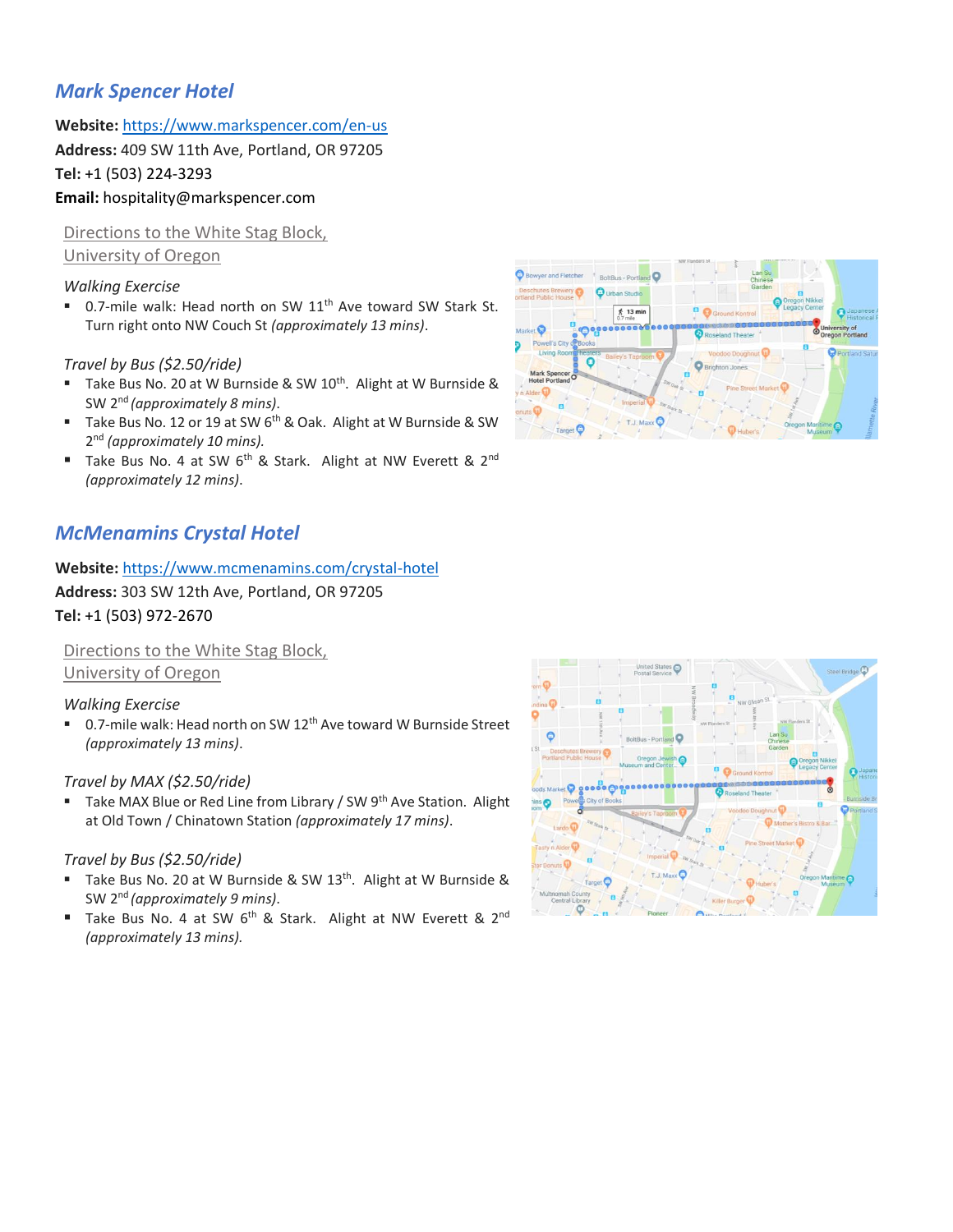## *Mark Spencer Hotel*

**Website:** <https://www.markspencer.com/en-us>

**Address:** 409 SW 11th Ave, Portland, OR 97205

**Tel:** +1 (503) [224-3293](https://www.google.com/search?safe=strict&ei=lF1UXLHTF5HurQG4_4SQDw&hotel_occupancy=&q=Mark+Spencer+Hotel+portland&oq=Mark+Spencer+Hotel+portland&gs_l=psy-ab.3..0i7i30j0l5j0i30l3j0i5i30.1186415.1186415..1187293...0.0..0.101.101.0j1......0....2j1..gws-wiz.......0i71.0LOuUZMJCRM)

### **Email:** [hospitality@markspencer.com](mailto:hospitality@markspencer.com)

Directions to the White Stag Block, University of Oregon

#### *Walking Exercise*

■ 0.7-mile walk: Head north on SW 11<sup>th</sup> Ave toward SW Stark St. Turn right onto NW Couch St *(approximately 13 mins)*.

#### *Travel by Bus (\$2.50/ride)*

- Take Bus No. 20 at W Burnside & SW 10<sup>th</sup>. Alight at W Burnside & SW 2nd *(approximately 8 mins)*.
- Take Bus No. 12 or 19 at SW 6<sup>th</sup> & Oak. Alight at W Burnside & SW 2 nd *(approximately 10 mins).*
- Take Bus No. 4 at SW 6<sup>th</sup> & Stark. Alight at NW Everett & 2<sup>nd</sup> *(approximately 12 mins)*.

## *McMenamins Crystal Hotel*

**Website:** <https://www.mcmenamins.com/crystal-hotel> **Address:** 303 SW 12th Ave, Portland, OR 97205 **Tel:** +1 (503) [972-2670](https://www.google.com/search?safe=strict&ei=aFZUXML5KIrmwQOu9pfQAQ&hotel_occupancy=&q=McMenamin%E2%80%98s+Crystal+Hotel+portland&oq=McMenamin%E2%80%98s+Crystal+Hotel+portland&gs_l=psy-ab.3..0i13.1832966.1832966..1833976...0.0..0.122.122.0j1......0....2j1..gws-wiz.R2cCxY7Z9wA)

Directions to the White Stag Block, University of Oregon

#### *Walking Exercise*

■ 0.7-mile walk: Head north on SW 12<sup>th</sup> Ave toward W Burnside Street *(approximately 13 mins)*.

#### *Travel by MAX (\$2.50/ride)*

Take MAX Blue or Red Line from Library / SW 9<sup>th</sup> Ave Station. Alight at Old Town / Chinatown Station *(approximately 17 mins)*.

- Take Bus No. 20 at W Burnside & SW 13<sup>th</sup>. Alight at W Burnside & SW 2nd *(approximately 9 mins)*.
- Take Bus No. 4 at SW 6<sup>th</sup> & Stark. Alight at NW Everett & 2<sup>nd</sup> *(approximately 13 mins).*



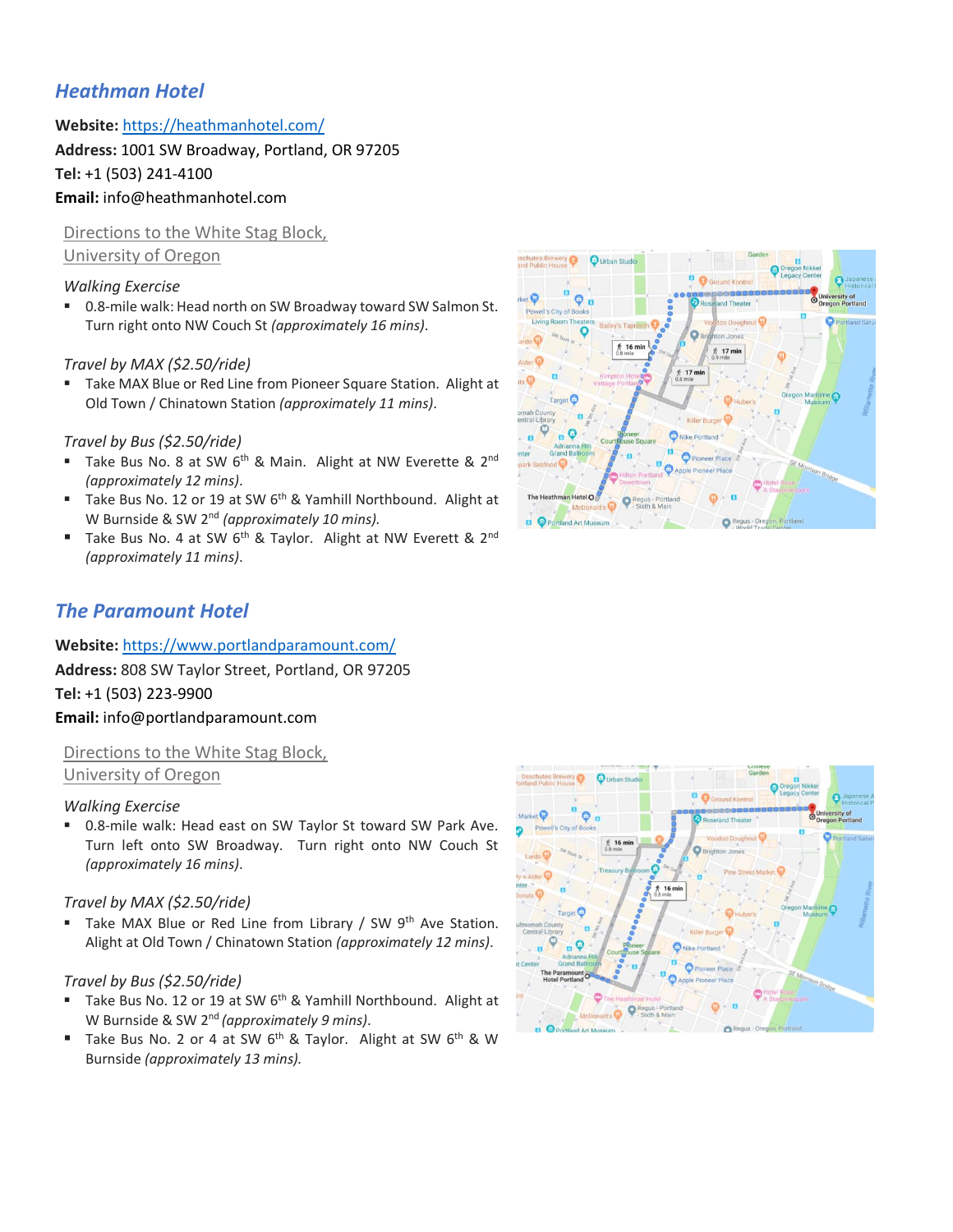## *Heathman Hotel*

**Website:** <https://heathmanhotel.com/>

**Address:** 1001 SW Broadway, Portland, OR 97205 **Tel:** +1 (503) 241-4100

### **Email:** info@heathmanhotel.com

Directions to the White Stag Block, University of Oregon

#### *Walking Exercise*

■ 0.8-mile walk: Head north on SW Broadway toward SW Salmon St. Turn right onto NW Couch St *(approximately 16 mins)*.

#### *Travel by MAX (\$2.50/ride)*

■ Take MAX Blue or Red Line from Pioneer Square Station. Alight at Old Town / Chinatown Station *(approximately 11 mins)*.

#### *Travel by Bus (\$2.50/ride)*

- Take Bus No. 8 at SW 6<sup>th</sup> & Main. Alight at NW Everette & 2<sup>nd</sup> *(approximately 12 mins)*.
- Take Bus No. 12 or 19 at SW  $6<sup>th</sup>$  & Yamhill Northbound. Alight at W Burnside & SW 2<sup>nd</sup> (approximately 10 mins).
- Take Bus No. 4 at SW  $6<sup>th</sup>$  & Taylor. Alight at NW Everett & 2<sup>nd</sup> *(approximately 11 mins)*.



### *The Paramount Hotel*

**Website:** https://www.portlandparamount.com/ **Address:** 808 SW Taylor Street, Portland, OR 97205 **Tel:** +1 (503) [223-9900](https://www.google.com/search?safe=strict&ei=lF1UXLHTF5HurQG4_4SQDw&hotel_occupancy=&q=Mark+Spencer+Hotel+portland&oq=Mark+Spencer+Hotel+portland&gs_l=psy-ab.3..0i7i30j0l5j0i30l3j0i5i30.1186415.1186415..1187293...0.0..0.101.101.0j1......0....2j1..gws-wiz.......0i71.0LOuUZMJCRM) **Email:** info@portlandparamount.com

Directions to the White Stag Block, University of Oregon

#### *Walking Exercise*

■ 0.8-mile walk: Head east on SW Taylor St toward SW Park Ave. Turn left onto SW Broadway. Turn right onto NW Couch St *(approximately 16 mins)*.

#### *Travel by MAX (\$2.50/ride)*

■ Take MAX Blue or Red Line from Library / SW 9<sup>th</sup> Ave Station. Alight at Old Town / Chinatown Station *(approximately 12 mins)*.

- Take Bus No. 12 or 19 at SW  $6<sup>th</sup>$  & Yamhill Northbound. Alight at W Burnside & SW 2nd *(approximately 9 mins)*.
- Take Bus No. 2 or 4 at SW  $6^{th}$  & Taylor. Alight at SW  $6^{th}$  & W Burnside *(approximately 13 mins).*